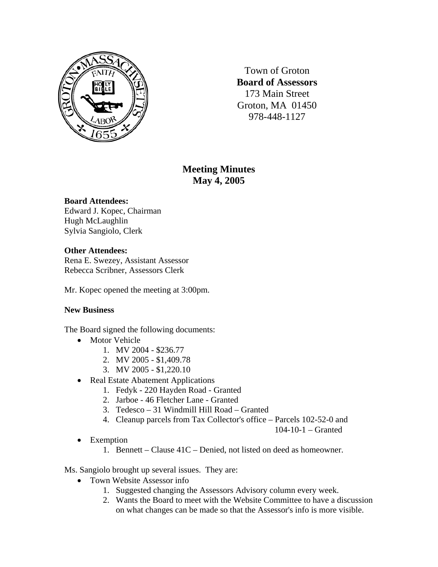

Town of Groton **Board of Assessors**  173 Main Street Groton, MA 01450 978-448-1127

# **Meeting Minutes May 4, 2005**

## **Board Attendees:**

Edward J. Kopec, Chairman Hugh McLaughlin Sylvia Sangiolo, Clerk

# **Other Attendees:**

Rena E. Swezey, Assistant Assessor Rebecca Scribner, Assessors Clerk

Mr. Kopec opened the meeting at 3:00pm.

## **New Business**

The Board signed the following documents:

- Motor Vehicle
	- 1. MV 2004 \$236.77
	- 2. MV 2005 \$1,409.78
	- 3. MV 2005 \$1,220.10
- Real Estate Abatement Applications
	- 1. Fedyk 220 Hayden Road Granted
	- 2. Jarboe 46 Fletcher Lane Granted
	- 3. Tedesco 31 Windmill Hill Road Granted
	- 4. Cleanup parcels from Tax Collector's office Parcels 102-52-0 and

104-10-1 – Granted

- Exemption
	- 1. Bennett Clause 41C Denied, not listed on deed as homeowner.

Ms. Sangiolo brought up several issues. They are:

- Town Website Assessor info
	- 1. Suggested changing the Assessors Advisory column every week.
	- 2. Wants the Board to meet with the Website Committee to have a discussion on what changes can be made so that the Assessor's info is more visible.